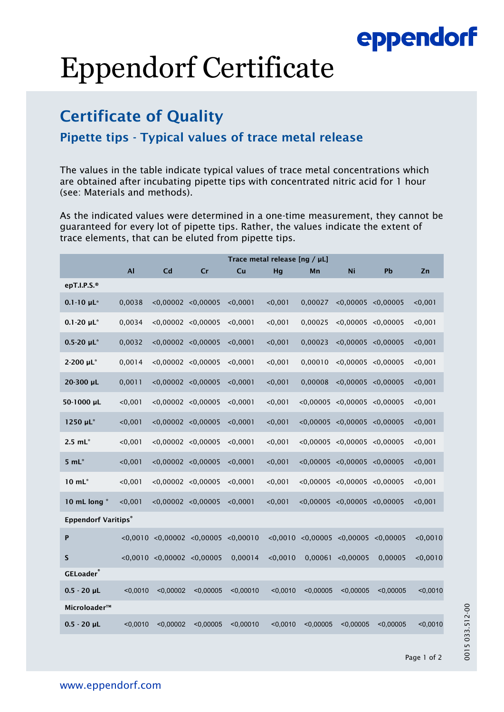## eppendorf

# Eppendorf Certificate

### Certificate of Quality

#### Pipette tips - Typical values of trace metal release

The values in the table indicate typical values of trace metal concentrations which are obtained after incubating pipette tips with concentrated nitric acid for 1 hour (see: Materials and methods).

As the indicated values were determined in a one-time measurement, they cannot be guaranteed for every lot of pipette tips. Rather, the values indicate the extent of trace elements, that can be eluted from pipette tips.

|                            | Trace metal release [ng / µL] |                                    |                                    |           |          |           |                                     |           |          |
|----------------------------|-------------------------------|------------------------------------|------------------------------------|-----------|----------|-----------|-------------------------------------|-----------|----------|
|                            | <b>Al</b>                     | Cd                                 | Cr                                 | Cu        | Hg       | Mn        | Ni                                  | Pb        | Zn       |
| epT.I.P.S.®                |                               |                                    |                                    |           |          |           |                                     |           |          |
| $0.1 - 10 \mu L^*$         | 0,0038                        | $< 0.00002$ $< 0.00005$            |                                    | < 0.0001  | < 0,001  | 0,00027   | < 0.00005 < 0.00005                 |           | < 0.001  |
| $0.1 - 20 \mu L^*$         | 0,0034                        | < 0,00002 < 0,00005                |                                    | < 0.0001  | < 0,001  | 0,00025   | $<$ 0,00005 $<$ 0,00005             |           | < 0,001  |
| $0.5 - 20 \mu L^*$         | 0,0032                        | $< 0.00002$ $< 0.00005$            |                                    | < 0.0001  | < 0,001  | 0,00023   | < 0.00005 < 0.00005                 |           | < 0,001  |
| 2-200 µL*                  | 0,0014                        | < 0,00002 < 0,00005                |                                    | < 0.0001  | < 0,001  | 0,00010   | $<$ 0,00005 $<$ 0,00005             |           | < 0,001  |
| 20-300 µL                  | 0,0011                        | < 0.00002 < 0.00005                |                                    | < 0.0001  | < 0,001  | 0,00008   | < 0.00005 < 0.00005                 |           | < 0,001  |
| 50-1000 µL                 | < 0,001                       | < 0,00002 < 0,00005                |                                    | < 0.0001  | < 0,001  |           | $<$ 0,00005 $<$ 0,00005 $<$ 0,00005 |           | < 0,001  |
| 1250 µL*                   | < 0.001                       | < 0.00002 < 0.00005                |                                    | < 0.0001  | < 0,001  |           | $< 0.00005$ $< 0.00005$ $< 0.00005$ |           | < 0,001  |
| $2.5$ mL $*$               | < 0.001                       | < 0,00002 < 0,00005                |                                    | < 0.0001  | < 0,001  |           | $<$ 0,00005 $<$ 0,00005 $<$ 0,00005 |           | < 0,001  |
| $5 mL*$                    | < 0.001                       | $< 0.00002$ $< 0.00005$            |                                    | < 0.0001  | < 0,001  |           | $< 0.00005$ $< 0.00005$ $< 0.00005$ |           | < 0.001  |
| 10 mL*                     | < 0,001                       | < 0,00002 < 0,00005                |                                    | < 0.0001  | < 0,001  |           | $<$ 0,00005 $<$ 0,00005 $<$ 0,00005 |           | < 0.001  |
| 10 mL long *               | < 0,001                       | < 0,00002 < 0,00005                |                                    | < 0.0001  | < 0,001  |           | $<$ 0,00005 $<$ 0,00005 $<$ 0,00005 |           | < 0,001  |
| <b>Eppendorf Varitips®</b> |                               |                                    |                                    |           |          |           |                                     |           |          |
| P                          |                               |                                    | $<$ 0,0010 $<$ 0,00002 $<$ 0,00005 | < 0.00010 | 0.0010   |           | $<$ 0,00005 $<$ 0,00005             | < 0.00005 | < 0,0010 |
| $\mathsf S$                |                               | $< 0,0010$ $< 0,00002$ $< 0,00005$ |                                    | 0,00014   | < 0,0010 | 0,00061   | < 0.00005                           | 0,00005   | < 0,0010 |
| <b>GELoader</b> ®          |                               |                                    |                                    |           |          |           |                                     |           |          |
| $0.5 - 20$ µL              | < 0.0010                      | < 0.00002                          | < 0.00005                          | < 0.00010 | < 0.0010 | < 0.00005 | < 0.00005                           | < 0.00005 | < 0.0010 |
| Microloader™               |                               |                                    |                                    |           |          |           |                                     |           |          |
| $0.5 - 20$ µL              | < 0,0010                      | < 0.00002                          | < 0,00005                          | < 0,00010 | < 0.0010 | < 0,00005 | < 0.00005                           | < 0,00005 | $0,0010$ |